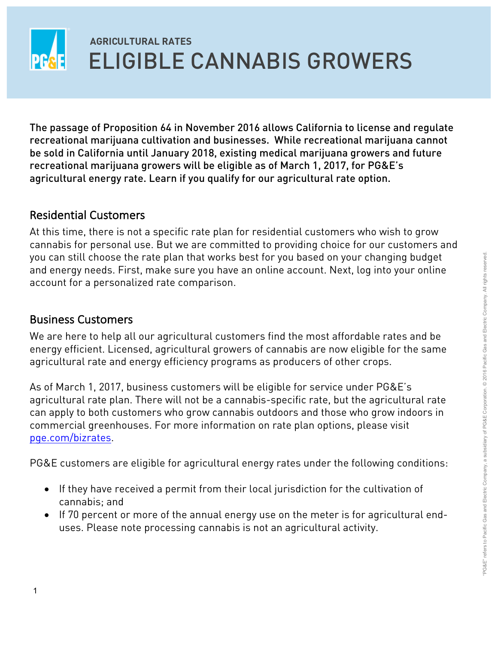

 recreational marijuana cultivation and businesses. While recreational marijuana cannot recreational marijuana growers will be eligible as of March 1, 2017, for PG&E's agricultural energy rate. Learn if you qualify for our agricultural rate option. The passage of Proposition 64 in November 2016 allows California to license and regulate be sold in California until January 2018, existing medical marijuana growers and future

## Residential Customers

 At this time, there is not a specific rate plan for residential customers who wish to grow cannabis for personal use. But we are committed to providing choice for our customers and and energy needs. First, make sure you have an online account. Next, log into your online you can still choose the rate plan that works best for you based on your changing budget account for a personalized rate comparison.

## Business Customers

 We are here to help all our agricultural customers find the most affordable rates and be energy efficient. Licensed, agricultural growers of cannabis are now eligible for the same agricultural rate and energy efficiency programs as producers of other crops.

 As of March 1, 2017, business customers will be eligible for service under PG&E's agricultural rate plan. There will not be a cannabis-specific rate, but the agricultural rate commercial greenhouses. For more information on rate plan options, please visit can apply to both customers who grow cannabis outdoors and those who grow indoors in pge.com/bizrates.

PG&E customers are eligible for agricultural energy rates under the following conditions:

- $\bullet$  If they have received a permit from their local jurisdiction for the cultivation of cannabis; and
- uses. Please note processing cannabis is not an agricultural activity. • If 70 percent or more of the annual energy use on the meter is for agricultural end-